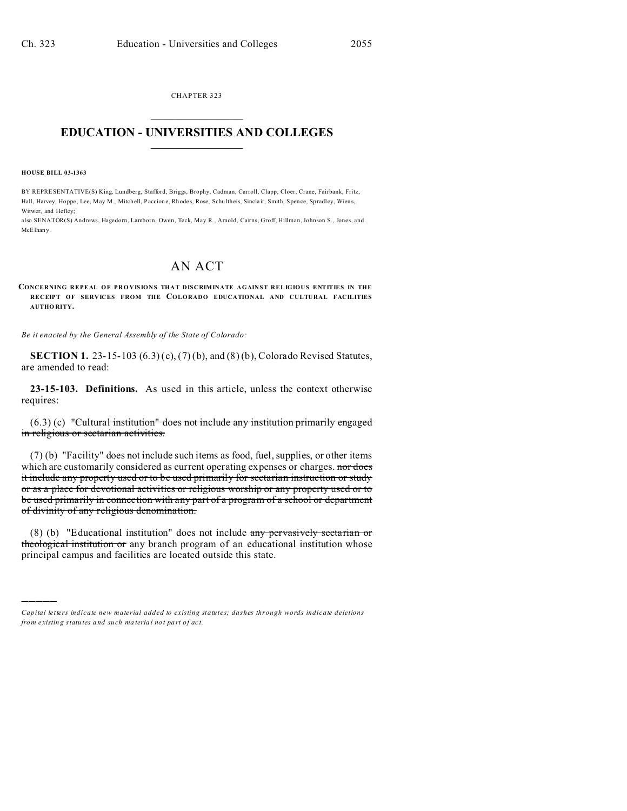CHAPTER 323  $\overline{\phantom{a}}$  , where  $\overline{\phantom{a}}$ 

## **EDUCATION - UNIVERSITIES AND COLLEGES**  $\frac{1}{2}$

**HOUSE BILL 03-1363**

)))))

BY REPRESENTATIVE(S) King, Lundberg, Stafford, Briggs, Brophy, Cadman, Carroll, Clapp, Cloer, Crane, Fairbank, Fritz, Hall, Harvey, Hoppe, Lee, May M., Mitchell, Paccione, Rhodes, Rose, Schultheis, Sinclair, Smith, Spence, Spradley, Wiens, Witwer, and Hefley;

also SENATOR(S) Andrews, Hagedorn, Lamborn, Owen, Teck, May R., Arnold, Cairns, Groff, Hillman, Johnson S., Jones, and McElhan y.

## AN ACT

**CONCERNING REPEAL OF PRO VISIONS THAT DISCRIMINATE AGAINST RELIGIOUS ENTITIES IN THE RECEIPT OF SERVICES FROM THE COLORADO EDUCATIONAL AND CULTURAL FACILITIES AUTHO RITY.**

*Be it enacted by the General Assembly of the State of Colorado:*

**SECTION 1.** 23-15-103 (6.3) (c), (7) (b), and (8) (b), Colorado Revised Statutes, are amended to read:

**23-15-103. Definitions.** As used in this article, unless the context otherwise requires:

(6.3) (c) "Cultural institution" does not include any institution primarily engaged in religious or sectarian activities.

(7) (b) "Facility" does not include such items as food, fuel, supplies, or other items which are customarily considered as current operating expenses or charges. nor does it include any property used or to be used primarily for sectarian instruction or study or as a place for devotional activities or religious worship or any property used or to be used primarily in connection with any part of a program of a school or department of divinity of any religious denomination.

(8) (b) "Educational institution" does not include any pervasively sectarian or theological institution or any branch program of an educational institution whose principal campus and facilities are located outside this state.

*Capital letters indicate new material added to existing statutes; dashes through words indicate deletions from e xistin g statu tes a nd such ma teria l no t pa rt of ac t.*